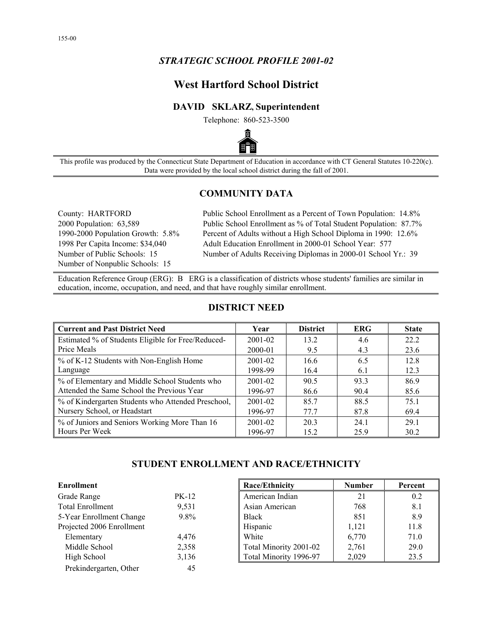## *STRATEGIC SCHOOL PROFILE 2001-02*

# **West Hartford School District**

### **DAVID SKLARZ, Superintendent**

Telephone: 860-523-3500



This profile was produced by the Connecticut State Department of Education in accordance with CT General Statutes 10-220(c). Data were provided by the local school district during the fall of 2001.

### **COMMUNITY DATA**

Number of Nonpublic Schools: 15

County: HARTFORD Public School Enrollment as a Percent of Town Population: 14.8% 2000 Population: 63,589 Public School Enrollment as % of Total Student Population: 87.7% 1990-2000 Population Growth: 5.8% Percent of Adults without a High School Diploma in 1990: 12.6% 1998 Per Capita Income: \$34,040 Adult Education Enrollment in 2000-01 School Year: 577 Number of Public Schools: 15 Number of Adults Receiving Diplomas in 2000-01 School Yr.: 39

Education Reference Group (ERG): B ERG is a classification of districts whose students' families are similar in education, income, occupation, and need, and that have roughly similar enrollment.

| <b>Current and Past District Need</b>              | Year        | <b>District</b> | <b>ERG</b> | <b>State</b> |
|----------------------------------------------------|-------------|-----------------|------------|--------------|
| Estimated % of Students Eligible for Free/Reduced- | 2001-02     | 13.2            | 4.6        | 22.2         |
| Price Meals                                        | 2000-01     | 9.5             | 4.3        | 23.6         |
| % of K-12 Students with Non-English Home           | 2001-02     | 16.6            | 6.5        | 12.8         |
| Language                                           | 1998-99     | 16.4            | 6.1        | 12.3         |
| % of Elementary and Middle School Students who     | 2001-02     | 90.5            | 933        | 86.9         |
| Attended the Same School the Previous Year         | 1996-97     | 86.6            | 90.4       | 85.6         |
| % of Kindergarten Students who Attended Preschool, | $2001 - 02$ | 85.7            | 88.5       | 75.1         |
| Nursery School, or Headstart                       | 1996-97     | 77.7            | 87.8       | 69.4         |
| % of Juniors and Seniors Working More Than 16      | 2001-02     | 203             | 24.1       | 29 1         |
| Hours Per Week                                     | 1996-97     | 15.2            | 259        | 30.2         |

## **DISTRICT NEED**

### **STUDENT ENROLLMENT AND RACE/ETHNICITY**

| <b>Enrollment</b>         |              |
|---------------------------|--------------|
| Grade Range               | <b>PK-12</b> |
| <b>Total Enrollment</b>   | 9,531        |
| 5-Year Enrollment Change  | 9.8%         |
| Projected 2006 Enrollment |              |
| Elementary                | 4,476        |
| Middle School             | 2,358        |
| High School               | 3,136        |
| Prekindergarten, Other    | 45           |

| Enrollment                |         | Race/Ethnicity         | <b>Number</b> | Percent |
|---------------------------|---------|------------------------|---------------|---------|
| Grade Range               | PK-12   | American Indian        | 21            | 0.2     |
| <b>Total Enrollment</b>   | 9,531   | Asian American         | 768           | 8.1     |
| 5-Year Enrollment Change  | $9.8\%$ | <b>Black</b>           | 851           | 8.9     |
| Projected 2006 Enrollment |         | Hispanic               | 1,121         | 11.8    |
| Elementary                | 4,476   | White                  | 6,770         | 71.0    |
| Middle School             | 2,358   | Total Minority 2001-02 | 2,761         | 29.0    |
| High School               | 3,136   | Total Minority 1996-97 | 2,029         | 23.5    |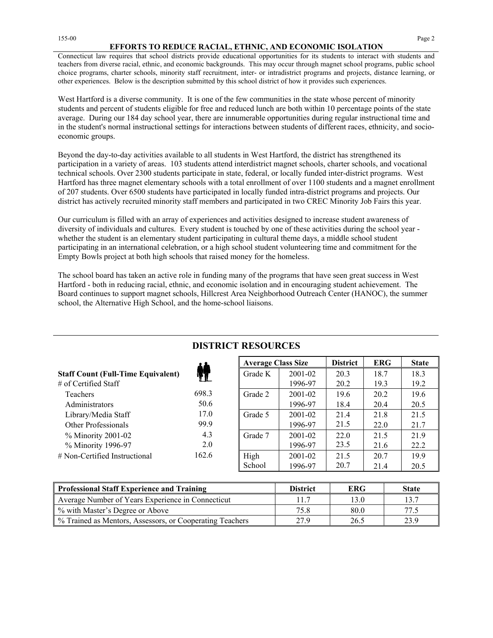#### **EFFORTS TO REDUCE RACIAL, ETHNIC, AND ECONOMIC ISOLATION**

Connecticut law requires that school districts provide educational opportunities for its students to interact with students and teachers from diverse racial, ethnic, and economic backgrounds. This may occur through magnet school programs, public school choice programs, charter schools, minority staff recruitment, inter- or intradistrict programs and projects, distance learning, or other experiences. Below is the description submitted by this school district of how it provides such experiences.

West Hartford is a diverse community. It is one of the few communities in the state whose percent of minority students and percent of students eligible for free and reduced lunch are both within 10 percentage points of the state average. During our 184 day school year, there are innumerable opportunities during regular instructional time and in the student's normal instructional settings for interactions between students of different races, ethnicity, and socioeconomic groups.

Beyond the day-to-day activities available to all students in West Hartford, the district has strengthened its participation in a variety of areas. 103 students attend interdistrict magnet schools, charter schools, and vocational technical schools. Over 2300 students participate in state, federal, or locally funded inter-district programs. West Hartford has three magnet elementary schools with a total enrollment of over 1100 students and a magnet enrollment of 207 students. Over 6500 students have participated in locally funded intra-district programs and projects. Our district has actively recruited minority staff members and participated in two CREC Minority Job Fairs this year.

Our curriculum is filled with an array of experiences and activities designed to increase student awareness of diversity of individuals and cultures. Every student is touched by one of these activities during the school year whether the student is an elementary student participating in cultural theme days, a middle school student participating in an international celebration, or a high school student volunteering time and commitment for the Empty Bowls project at both high schools that raised money for the homeless.

The school board has taken an active role in funding many of the programs that have seen great success in West Hartford - both in reducing racial, ethnic, and economic isolation and in encouraging student achievement. The Board continues to support magnet schools, Hillcrest Area Neighborhood Outreach Center (HANOC), the summer school, the Alternative High School, and the home-school liaisons.

|                                           |       | <b>Average Class Size</b> |             | <b>District</b> | <b>ERG</b> | <b>State</b> |
|-------------------------------------------|-------|---------------------------|-------------|-----------------|------------|--------------|
| <b>Staff Count (Full-Time Equivalent)</b> |       | Grade K                   | 2001-02     | 20.3            | 18.7       | 18.3         |
| $\#$ of Certified Staff                   |       |                           | 1996-97     | 20.2            | 19.3       | 19.2         |
| Teachers                                  | 698.3 | Grade 2                   | 2001-02     | 19.6            | 20.2       | 19.6         |
| Administrators                            | 50.6  |                           | 1996-97     | 18.4            | 20.4       | 20.5         |
| Library/Media Staff                       | 17.0  | Grade 5                   | 2001-02     | 21.4            | 21.8       | 21.5         |
| Other Professionals                       | 99.9  |                           | 1996-97     | 21.5            | 22.0       | 21.7         |
| % Minority 2001-02                        | 4.3   | Grade 7                   | $2001 - 02$ | 22.0            | 21.5       | 21.9         |
| % Minority 1996-97                        | 2.0   |                           | 1996-97     | 23.5            | 21.6       | 22.2         |
| $#$ Non-Certified Instructional           | 162.6 | High                      | $2001 - 02$ | 21.5            | 20.7       | 19.9         |
|                                           |       | School                    | 1996-97     | 20.7            | 21.4       | 20.5         |

## **DISTRICT RESOURCES**

| Professional Staff Experience and Training               | <b>District</b> | <b>ERG</b> | <b>State</b> |
|----------------------------------------------------------|-----------------|------------|--------------|
| Average Number of Years Experience in Connecticut        |                 |            |              |
| % with Master's Degree or Above                          | 75.8            | 80.0       |              |
| % Trained as Mentors, Assessors, or Cooperating Teachers | 27.9            | 26.5       | 23.9         |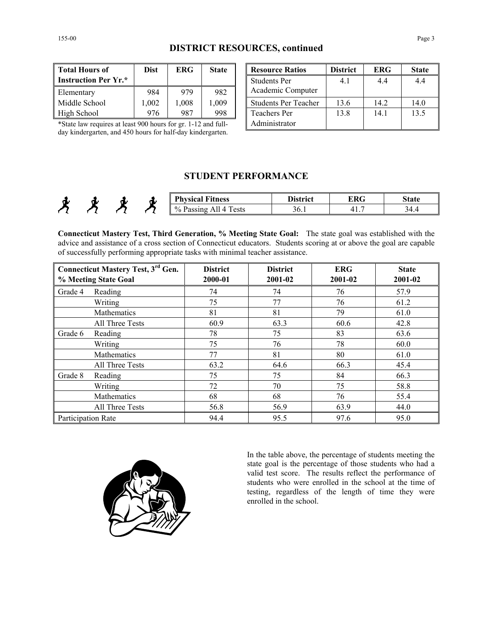| <b>DISTRICT RESOURCES, continued</b> |  |
|--------------------------------------|--|
|--------------------------------------|--|

| <b>Total Hours of</b><br><b>Instruction Per Yr.*</b> | <b>Dist</b> | <b>ERG</b> | <b>State</b> |
|------------------------------------------------------|-------------|------------|--------------|
| Elementary                                           | 984         | 979        | 982          |
| Middle School                                        | 1,002       | 1,008      | 1,009        |
| High School                                          | 976         | 987        | 998          |

\*State law requires at least 900 hours for gr. 1-12 and fullday kindergarten, and 450 hours for half-day kindergarten.

**The Rource Ratios Construct FRG For State** Students Per Academic Computer 4.1 4.4 4.4 Students Per Teacher 13.6 14.2 14.0 Teachers Per Administrator 13.8 14.1 13.5

## **STUDENT PERFORMANCE**

|  | π | <b>Physical Fitness</b>                                 | District | ERG | <b>State</b> |
|--|---|---------------------------------------------------------|----------|-----|--------------|
|  |   | $\sim$<br>$\frac{0}{0}$ .<br>l ests<br>Passing<br>All 4 | 30. I    | .   | .            |

**Connecticut Mastery Test, Third Generation, % Meeting State Goal:** The state goal was established with the advice and assistance of a cross section of Connecticut educators. Students scoring at or above the goal are capable of successfully performing appropriate tasks with minimal teacher assistance.

| % Meeting State Goal | Connecticut Mastery Test, 3rd Gen. | <b>District</b><br>2000-01 | <b>District</b><br>2001-02 | <b>ERG</b><br>2001-02 | <b>State</b><br>2001-02 |
|----------------------|------------------------------------|----------------------------|----------------------------|-----------------------|-------------------------|
| Grade 4              | Reading                            | 74                         | 74                         | 76                    | 57.9                    |
|                      | Writing                            | 75                         | 77                         | 76                    | 61.2                    |
|                      | Mathematics                        | 81                         | 81                         | 79                    | 61.0                    |
|                      | All Three Tests                    | 60.9                       | 63.3                       | 60.6                  | 42.8                    |
| Grade 6              | Reading                            | 78                         | 75                         | 83                    | 63.6                    |
|                      | Writing                            | 75                         | 76                         | 78                    | 60.0                    |
|                      | <b>Mathematics</b>                 | 77                         | 81                         | 80                    | 61.0                    |
|                      | All Three Tests                    | 63.2                       | 64.6                       | 66.3                  | 45.4                    |
| Grade 8              | Reading                            | 75                         | 75                         | 84                    | 66.3                    |
|                      | Writing                            | 72                         | 70                         | 75                    | 58.8                    |
|                      | Mathematics                        | 68                         | 68                         | 76                    | 55.4                    |
|                      | All Three Tests                    | 56.8                       | 56.9                       | 63.9                  | 44.0                    |
| Participation Rate   |                                    | 94.4                       | 95.5                       | 97.6                  | 95.0                    |



In the table above, the percentage of students meeting the state goal is the percentage of those students who had a valid test score. The results reflect the performance of students who were enrolled in the school at the time of testing, regardless of the length of time they were enrolled in the school.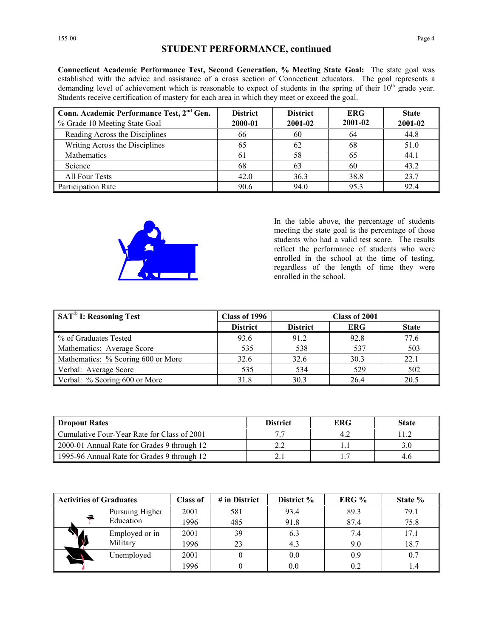**Connecticut Academic Performance Test, Second Generation, % Meeting State Goal:** The state goal was established with the advice and assistance of a cross section of Connecticut educators. The goal represents a demanding level of achievement which is reasonable to expect of students in the spring of their  $10<sup>th</sup>$  grade year. Students receive certification of mastery for each area in which they meet or exceed the goal.

| Conn. Academic Performance Test, 2 <sup>nd</sup> Gen. | <b>District</b> | <b>District</b> | <b>ERG</b> | <b>State</b> |
|-------------------------------------------------------|-----------------|-----------------|------------|--------------|
| ■ % Grade 10 Meeting State Goal                       | 2000-01         | 2001-02         | 2001-02    | 2001-02      |
| Reading Across the Disciplines                        | 66              | 60              | 64         | 44.8         |
| Writing Across the Disciplines                        | 65              | 62              | 68         | 51.0         |
| Mathematics                                           | 61              | 58              | 65         | 44.1         |
| Science                                               | 68              | 63              | 60         | 43.2         |
| All Four Tests                                        | 42.0            | 36.3            | 38.8       | 23.7         |
| <b>Participation Rate</b>                             | 90.6            | 94.0            | 95.3       | 92.4         |



In the table above, the percentage of students meeting the state goal is the percentage of those students who had a valid test score. The results reflect the performance of students who were enrolled in the school at the time of testing, regardless of the length of time they were enrolled in the school.

| SAT <sup>®</sup> I: Reasoning Test | Class of 1996   | Class of 2001   |            |              |
|------------------------------------|-----------------|-----------------|------------|--------------|
|                                    | <b>District</b> | <b>District</b> | <b>ERG</b> | <b>State</b> |
| ■ % of Graduates Tested            | 93.6            | 91.2            | 92.8       | 77.6         |
| Mathematics: Average Score         | 535             | 538             | 537        | 503          |
| Mathematics: % Scoring 600 or More | 32.6            | 32.6            | 30.3       | 22.1         |
| Verbal: Average Score              | 535             | 534             | 529        | 502          |
| Verbal: % Scoring 600 or More      | 31.8            | 30.3            | 26.4       | 20.5         |

| <b>Dropout Rates</b>                        | <b>District</b> | <b>ERG</b> | <b>State</b> |
|---------------------------------------------|-----------------|------------|--------------|
| Cumulative Four-Year Rate for Class of 2001 |                 | 4.2        |              |
| 2000-01 Annual Rate for Grades 9 through 12 |                 |            |              |
| 1995-96 Annual Rate for Grades 9 through 12 |                 |            | 4.6          |

| <b>Activities of Graduates</b> |                 | Class of | $#$ in District | District % | ERG % | State % |
|--------------------------------|-----------------|----------|-----------------|------------|-------|---------|
|                                | Pursuing Higher | 2001     | 581             | 93.4       | 89.3  | 79.1    |
|                                | Education       | 1996     | 485             | 91.8       | 87.4  | 75.8    |
|                                | Employed or in  | 2001     | 39              | 6.3        | 7.4   | 17.1    |
|                                | Military        | 1996     | 23              | 4.3        | 9.0   | 18.7    |
|                                | Unemployed      | 2001     |                 | 0.0        | 0.9   | 0.7     |
|                                |                 | 1996     |                 | 0.0        | 0.2   | 1.4     |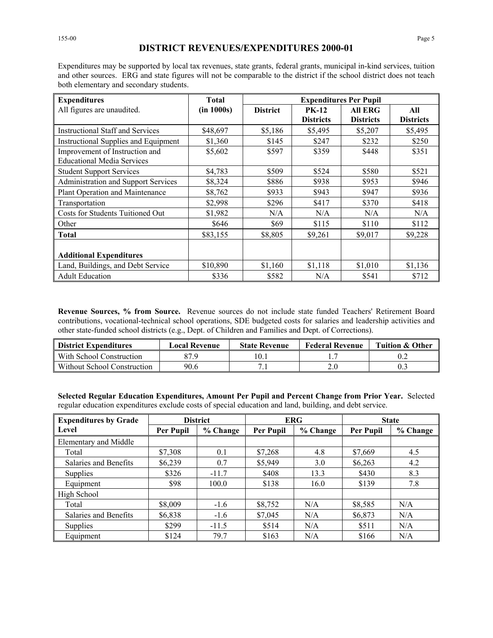155-00 Page 5

Expenditures may be supported by local tax revenues, state grants, federal grants, municipal in-kind services, tuition and other sources. ERG and state figures will not be comparable to the district if the school district does not teach both elementary and secondary students.

| <b>Expenditures</b>                                                 | <b>Total</b> | <b>Expenditures Per Pupil</b> |                                  |                             |                         |
|---------------------------------------------------------------------|--------------|-------------------------------|----------------------------------|-----------------------------|-------------------------|
| All figures are unaudited.                                          | (in 1000s)   | <b>District</b>               | <b>PK-12</b><br><b>Districts</b> | All ERG<br><b>Districts</b> | All<br><b>Districts</b> |
| <b>Instructional Staff and Services</b>                             | \$48,697     | \$5,186                       | \$5,495                          | \$5,207                     | \$5,495                 |
| Instructional Supplies and Equipment                                | \$1,360      | \$145                         | \$247                            | \$232                       | \$250                   |
| Improvement of Instruction and<br><b>Educational Media Services</b> | \$5,602      | \$597                         | \$359                            | \$448                       | \$351                   |
| <b>Student Support Services</b>                                     | \$4,783      | \$509                         | \$524                            | \$580                       | \$521                   |
| Administration and Support Services                                 | \$8,324      | \$886                         | \$938                            | \$953                       | \$946                   |
| Plant Operation and Maintenance                                     | \$8,762      | \$933                         | \$943                            | \$947                       | \$936                   |
| Transportation                                                      | \$2,998      | \$296                         | \$417                            | \$370                       | \$418                   |
| Costs for Students Tuitioned Out                                    | \$1,982      | N/A                           | N/A                              | N/A                         | N/A                     |
| Other                                                               | \$646        | \$69                          | \$115                            | \$110                       | \$112                   |
| <b>Total</b>                                                        | \$83,155     | \$8,805                       | \$9,261                          | \$9,017                     | \$9,228                 |
| <b>Additional Expenditures</b>                                      |              |                               |                                  |                             |                         |
| Land, Buildings, and Debt Service                                   | \$10,890     | \$1,160                       | \$1,118                          | \$1,010                     | \$1,136                 |
| <b>Adult Education</b>                                              | \$336        | \$582                         | N/A                              | \$541                       | \$712                   |

**Revenue Sources, % from Source.** Revenue sources do not include state funded Teachers' Retirement Board contributions, vocational-technical school operations, SDE budgeted costs for salaries and leadership activities and other state-funded school districts (e.g., Dept. of Children and Families and Dept. of Corrections).

| <b>District Expenditures</b> | <b>Local Revenue</b> | <b>State Revenue</b> | <b>Federal Revenue</b> | <b>Tuition &amp; Other</b> |  |
|------------------------------|----------------------|----------------------|------------------------|----------------------------|--|
| With School Construction     | 27 O                 |                      |                        |                            |  |
| Without School Construction  | 90.6                 |                      |                        |                            |  |

**Selected Regular Education Expenditures, Amount Per Pupil and Percent Change from Prior Year.** Selected regular education expenditures exclude costs of special education and land, building, and debt service.

| <b>Expenditures by Grade</b> | <b>District</b> |          | <b>ERG</b>       |          | <b>State</b> |          |
|------------------------------|-----------------|----------|------------------|----------|--------------|----------|
| Level                        | Per Pupil       | % Change | <b>Per Pupil</b> | % Change | Per Pupil    | % Change |
| Elementary and Middle        |                 |          |                  |          |              |          |
| Total                        | \$7,308         | 0.1      | \$7,268          | 4.8      | \$7,669      | 4.5      |
| Salaries and Benefits        | \$6,239         | 0.7      | \$5,949          | 3.0      | \$6,263      | 4.2      |
| <b>Supplies</b>              | \$326           | $-11.7$  | \$408            | 13.3     | \$430        | 8.3      |
| Equipment                    | \$98            | 100.0    | \$138            | 16.0     | \$139        | 7.8      |
| High School                  |                 |          |                  |          |              |          |
| Total                        | \$8,009         | $-1.6$   | \$8,752          | N/A      | \$8,585      | N/A      |
| Salaries and Benefits        | \$6,838         | $-1.6$   | \$7,045          | N/A      | \$6,873      | N/A      |
| Supplies                     | \$299           | $-11.5$  | \$514            | N/A      | \$511        | N/A      |
| Equipment                    | \$124           | 79.7     | \$163            | N/A      | \$166        | N/A      |